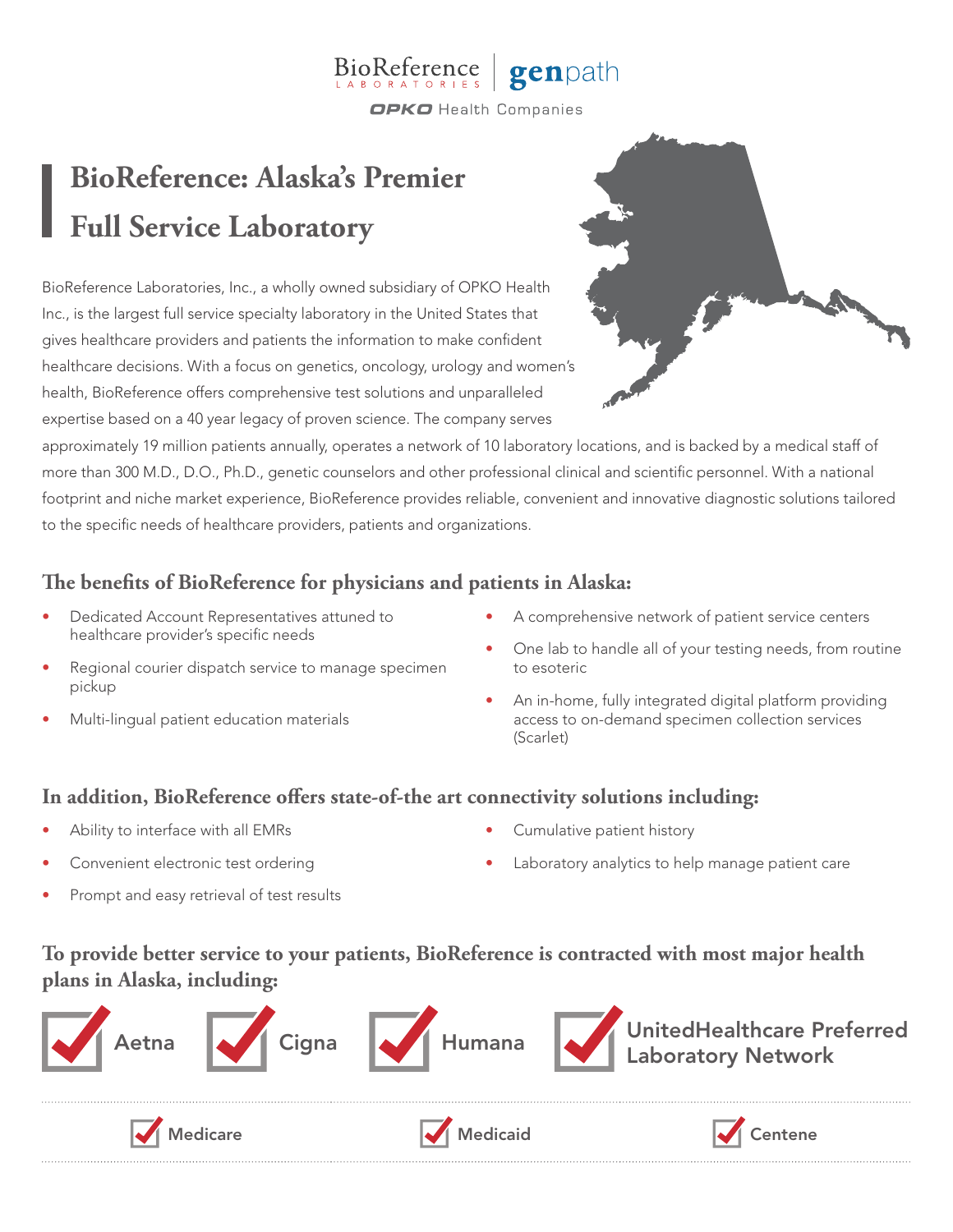#### BioReference genpath **OPKO** Health Companies

# **BioReference: Alaska's Premier Full Service Laboratory**

BioReference Laboratories, Inc., a wholly owned subsidiary of OPKO Health Inc., is the largest full service specialty laboratory in the United States that gives healthcare providers and patients the information to make confident healthcare decisions. With a focus on genetics, oncology, urology and women's health, BioReference offers comprehensive test solutions and unparalleled expertise based on a 40 year legacy of proven science. The company serves



approximately 19 million patients annually, operates a network of 10 laboratory locations, and is backed by a medical staff of more than 300 M.D., D.O., Ph.D., genetic counselors and other professional clinical and scientific personnel. With a national footprint and niche market experience, BioReference provides reliable, convenient and innovative diagnostic solutions tailored to the specific needs of healthcare providers, patients and organizations.

# **The benefits of BioReference for physicians and patients in Alaska:**

- Dedicated Account Representatives attuned to healthcare provider's specific needs
- Regional courier dispatch service to manage specimen pickup
- Multi-lingual patient education materials
- A comprehensive network of patient service centers
- One lab to handle all of your testing needs, from routine to esoteric
- An in-home, fully integrated digital platform providing access to on-demand specimen collection services (Scarlet)

### **In addition, BioReference offers state-of-the art connectivity solutions including:**

- Ability to interface with all EMRs
- Convenient electronic test ordering
- Prompt and easy retrieval of test results
- Cumulative patient history
- Laboratory analytics to help manage patient care

# **To provide better service to your patients, BioReference is contracted with most major health plans in Alaska, including:**